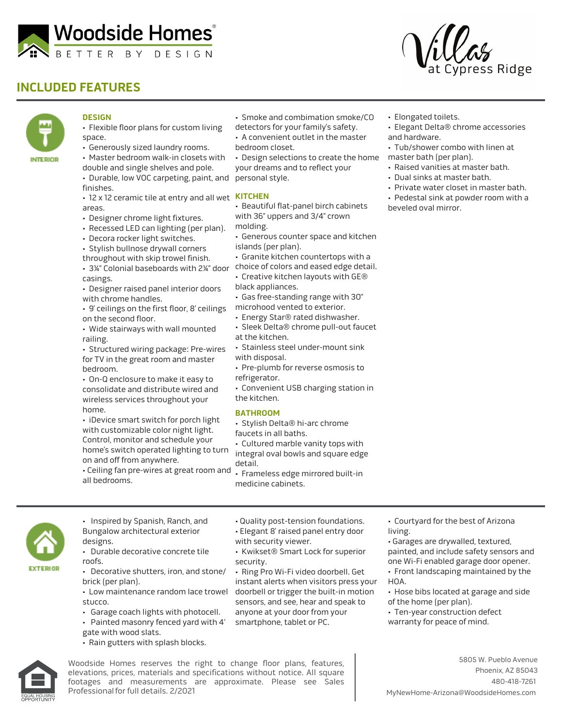

## **INCLUDED FEATURES**





## **DESIGN**

- Flexible floor plans for custom living space.
- Generously sized laundry rooms.
- Master bedroom walk-in closets with double and single shelves and pole.

• Durable, low VOC carpeting, paint, and finishes.

- 12 x 12 ceramic tile at entry and all wet **KITCHEN** areas.
- Designer chrome light fixtures.
- Recessed LED can lighting (per plan).
- Decora rocker light switches.
- Stylish bullnose drywall corners
- throughout with skip trowel finish. • 3¼" Colonial baseboards with 2¼" door choice of colors and eased edge detail. casings.
- Designer raised panel interior doors with chrome handles.
- 9' ceilings on the first floor, 8' ceilings on the second floor.
- Wide stairways with wall mounted railing.
- Structured wiring package: Pre-wires for TV in the great room and master bedroom.
- On-Q enclosure to make it easy to consolidate and distribute wired and wireless services throughout your home.
- iDevice smart switch for porch light with customizable color night light. Control, monitor and schedule your home's switch operated lighting to turn on and off from anywhere.
- Ceiling fan pre-wires at great room and all bedrooms.
- Smoke and combimation smoke/CO detectors for your family's safety.
- A convenient outlet in the master
- bedroom closet.

• Design selections to create the home your dreams and to reflect your personal style.

- Beautiful flat-panel birch cabinets with 36" uppers and 3/4" crown molding.
- Generous counter space and kitchen islands (per plan).
- Granite kitchen countertops with a
- 
- Creative kitchen layouts with GE® black appliances.
- Gas free-standing range with 30"
- microhood vented to exterior.
- Energy Star® rated dishwasher.
- Sleek Delta® chrome pull-out faucet
- at the kitchen.
- Stainless steel under-mount sink with disposal.
- Pre-plumb for reverse osmosis to refrigerator.
- Convenient USB charging station in the kitchen.

### **BATHROOM**

- Stylish Delta® hi-arc chrome
- faucets in all baths.
- Cultured marble vanity tops with integral oval bowls and square edge
- detail. • Frameless edge mirrored built-in medicine cabinets.
- Elongated toilets.
- Elegant Delta® chrome accessories and hardware.
- Tub/shower combo with linen at master bath (per plan).
- Raised vanities at master bath.
- Dual sinks at master bath.
- Private water closet in master bath. • Pedestal sink at powder room with a beveled oval mirror.

• Courtyard for the best of Arizona living.

• Garages are drywalled, textured, painted, and include safety sensors and one Wi-Fi enabled garage door opener.

- Front landscaping maintained by the HOA.
- Hose bibs located at garage and side of the home (per plan).
- Ten-year construction defect warranty for peace of mind.



- Inspired by Spanish, Ranch, and Bungalow architectural exterior designs.
- Durable decorative concrete tile roofs.
- Decorative shutters, iron, and stone/ brick (per plan).
- Low maintenance random lace trowel stucco.
- Garage coach lights with photocell.
- Painted masonry fenced yard with 4'
- gate with wood slats.
- Rain gutters with splash blocks.



Woodside Homes reserves the right to change floor plans, features, elevations, prices, materials and specifications without notice. All square footages and measurements are approximate. Please see Sales Professional for full details. 2/2021

- - Quality post-tension foundations.
		-
	- with security viewer.
	- Kwikset® Smart Lock for superior security.

• Ring Pro Wi-Fi video doorbell. Get instant alerts when visitors press your doorbell or trigger the built-in motion sensors, and see, hear and speak to anyone at your door from your smartphone, tablet or PC.

- - Elegant 8' raised panel entry door